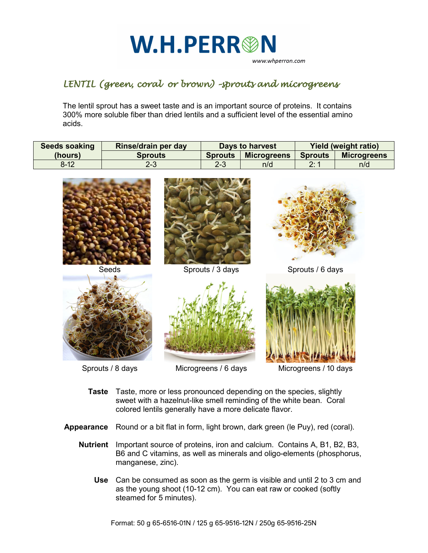

## *LENTIL (green, coral or brown) –sprouts and microgreens*

The lentil sprout has a sweet taste and is an important source of proteins. It contains 300% more soluble fiber than dried lentils and a sufficient level of the essential amino acids.

| <b>Seeds soaking</b> | Rinse/drain per day | Days to harvest |                    | <b>Yield (weight ratio)</b> |                    |
|----------------------|---------------------|-----------------|--------------------|-----------------------------|--------------------|
| (hours)              | <b>Sprouts</b>      | <b>Sprouts</b>  | <b>Microgreens</b> | <b>Sprouts</b>              | <b>Microgreens</b> |
| $8 - 12$             | 2-3                 | 2-3             | n/d                | 2:1                         | n/d                |



- **Taste** Taste, more or less pronounced depending on the species, slightly sweet with a hazelnut-like smell reminding of the white bean. Coral colored lentils generally have a more delicate flavor.
- **Appearance** Round or a bit flat in form, light brown, dark green (le Puy), red (coral).
	- **Nutrient** Important source of proteins, iron and calcium. Contains A, B1, B2, B3, B6 and C vitamins, as well as minerals and oligo-elements (phosphorus, manganese, zinc).
		- **Use** Can be consumed as soon as the germ is visible and until 2 to 3 cm and as the young shoot (10-12 cm). You can eat raw or cooked (softly steamed for 5 minutes).